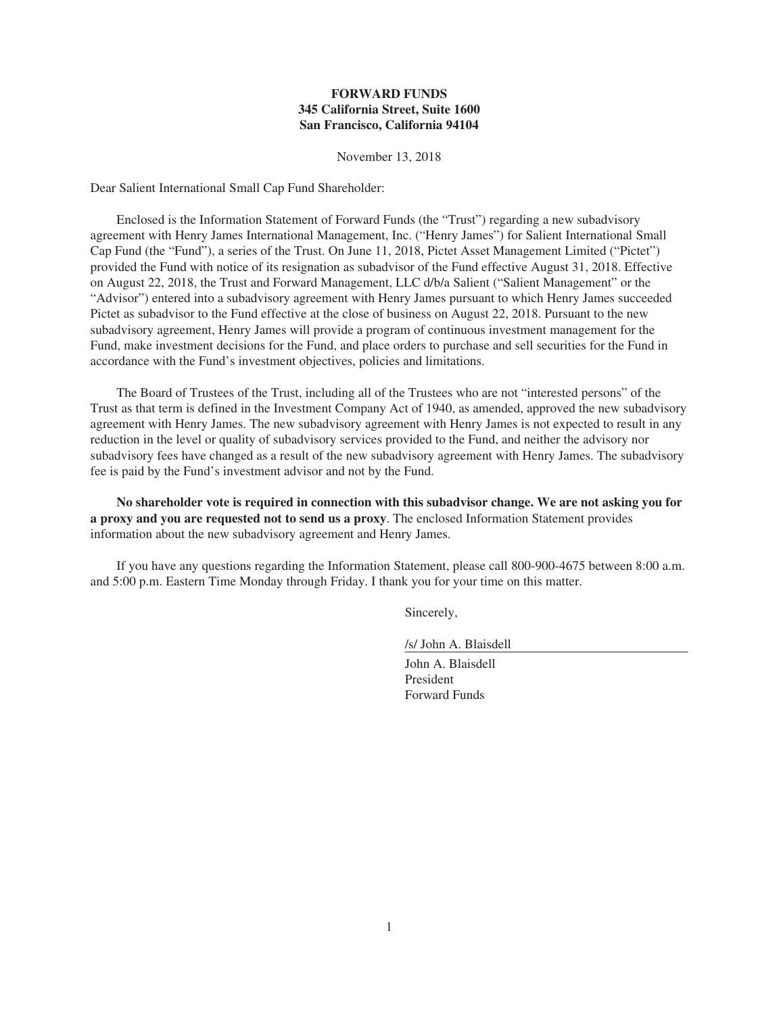## **FORWARD FUNDS 345 California Street, Suite 1600 San Francisco, California 94104**

November 13, 2018

Dear Salient International Small Cap Fund Shareholder:

Enclosed is the Information Statement of Forward Funds (the "Trust") regarding a new subadvisory agreement with Henry James International Management, Inc. ("Henry James") for Salient International Small Cap Fund (the "Fund"), a series of the Trust. On June 11, 2018, Pictet Asset Management Limited ("Pictet") provided the Fund with notice of its resignation as subadvisor of the Fund effective August 31, 2018. Effective on August 22, 2018, the Trust and Forward Management, LLC d/b/a Salient ("Salient Management" or the "Advisor") entered into a subadvisory agreement with Henry James pursuant to which Henry James succeeded Pictet as subadvisor to the Fund effective at the close of business on August 22, 2018. Pursuant to the new subadvisory agreement, Henry James will provide a program of continuous investment management for the Fund, make investment decisions for the Fund, and place orders to purchase and sell securities for the Fund in accordance with the Fund's investment objectives, policies and limitations.

The Board of Trustees of the Trust, including all of the Trustees who are not "interested persons" of the Trust as that term is defined in the Investment Company Act of 1940, as amended, approved the new subadvisory agreement with Henry James. The new subadvisory agreement with Henry James is not expected to result in any reduction in the level or quality of subadvisory services provided to the Fund, and neither the advisory nor subadvisory fees have changed as a result of the new subadvisory agreement with Henry James. The subadvisory fee is paid by the Fund's investment advisor and not by the Fund.

**No shareholder vote is required in connection with this subadvisor change. We are not asking you for a proxy and you are requested not to send us a proxy**. The enclosed Information Statement provides information about the new subadvisory agreement and Henry James.

If you have any questions regarding the Information Statement, please call 800-900-4675 between 8:00 a.m. and 5:00 p.m. Eastern Time Monday through Friday. I thank you for your time on this matter.

Sincerely,

/s/ John A. Blaisdell

John A. Blaisdell President Forward Funds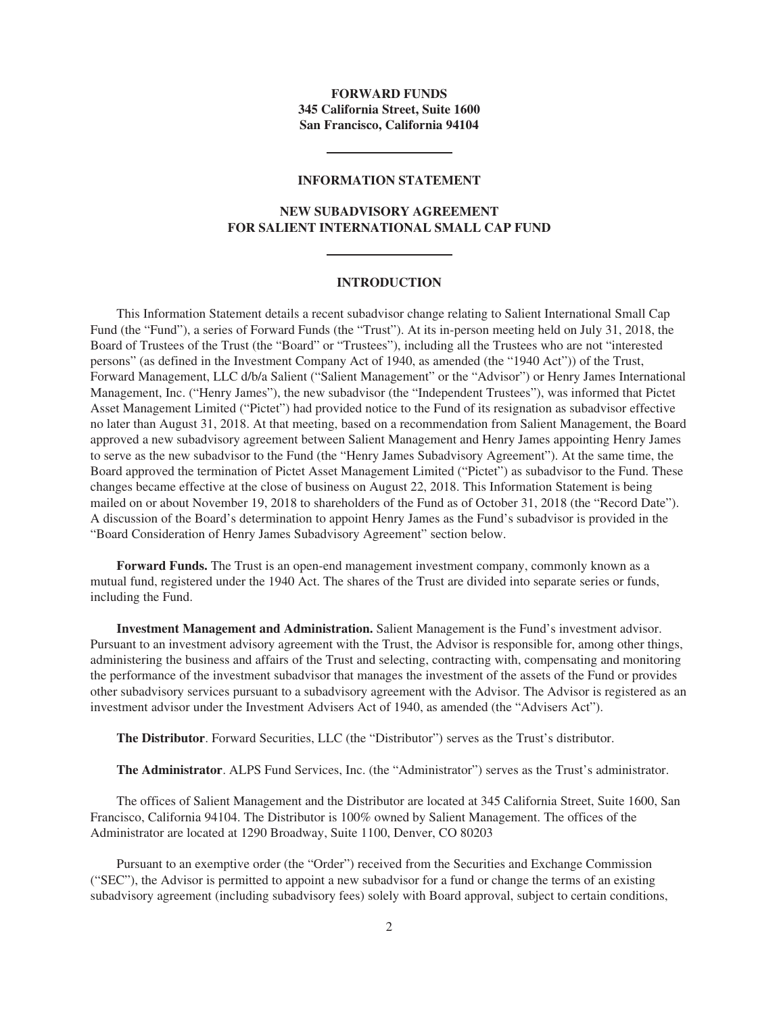## **FORWARD FUNDS 345 California Street, Suite 1600 San Francisco, California 94104**

#### **INFORMATION STATEMENT**

## **NEW SUBADVISORY AGREEMENT FOR SALIENT INTERNATIONAL SMALL CAP FUND**

#### **INTRODUCTION**

This Information Statement details a recent subadvisor change relating to Salient International Small Cap Fund (the "Fund"), a series of Forward Funds (the "Trust"). At its in-person meeting held on July 31, 2018, the Board of Trustees of the Trust (the "Board" or "Trustees"), including all the Trustees who are not "interested persons" (as defined in the Investment Company Act of 1940, as amended (the "1940 Act")) of the Trust, Forward Management, LLC d/b/a Salient ("Salient Management" or the "Advisor") or Henry James International Management, Inc. ("Henry James"), the new subadvisor (the "Independent Trustees"), was informed that Pictet Asset Management Limited ("Pictet") had provided notice to the Fund of its resignation as subadvisor effective no later than August 31, 2018. At that meeting, based on a recommendation from Salient Management, the Board approved a new subadvisory agreement between Salient Management and Henry James appointing Henry James to serve as the new subadvisor to the Fund (the "Henry James Subadvisory Agreement"). At the same time, the Board approved the termination of Pictet Asset Management Limited ("Pictet") as subadvisor to the Fund. These changes became effective at the close of business on August 22, 2018. This Information Statement is being mailed on or about November 19, 2018 to shareholders of the Fund as of October 31, 2018 (the "Record Date"). A discussion of the Board's determination to appoint Henry James as the Fund's subadvisor is provided in the "Board Consideration of Henry James Subadvisory Agreement" section below.

**Forward Funds.** The Trust is an open-end management investment company, commonly known as a mutual fund, registered under the 1940 Act. The shares of the Trust are divided into separate series or funds, including the Fund.

**Investment Management and Administration.** Salient Management is the Fund's investment advisor. Pursuant to an investment advisory agreement with the Trust, the Advisor is responsible for, among other things, administering the business and affairs of the Trust and selecting, contracting with, compensating and monitoring the performance of the investment subadvisor that manages the investment of the assets of the Fund or provides other subadvisory services pursuant to a subadvisory agreement with the Advisor. The Advisor is registered as an investment advisor under the Investment Advisers Act of 1940, as amended (the "Advisers Act").

**The Distributor**. Forward Securities, LLC (the "Distributor") serves as the Trust's distributor.

**The Administrator**. ALPS Fund Services, Inc. (the "Administrator") serves as the Trust's administrator.

The offices of Salient Management and the Distributor are located at 345 California Street, Suite 1600, San Francisco, California 94104. The Distributor is 100% owned by Salient Management. The offices of the Administrator are located at 1290 Broadway, Suite 1100, Denver, CO 80203

Pursuant to an exemptive order (the "Order") received from the Securities and Exchange Commission ("SEC"), the Advisor is permitted to appoint a new subadvisor for a fund or change the terms of an existing subadvisory agreement (including subadvisory fees) solely with Board approval, subject to certain conditions,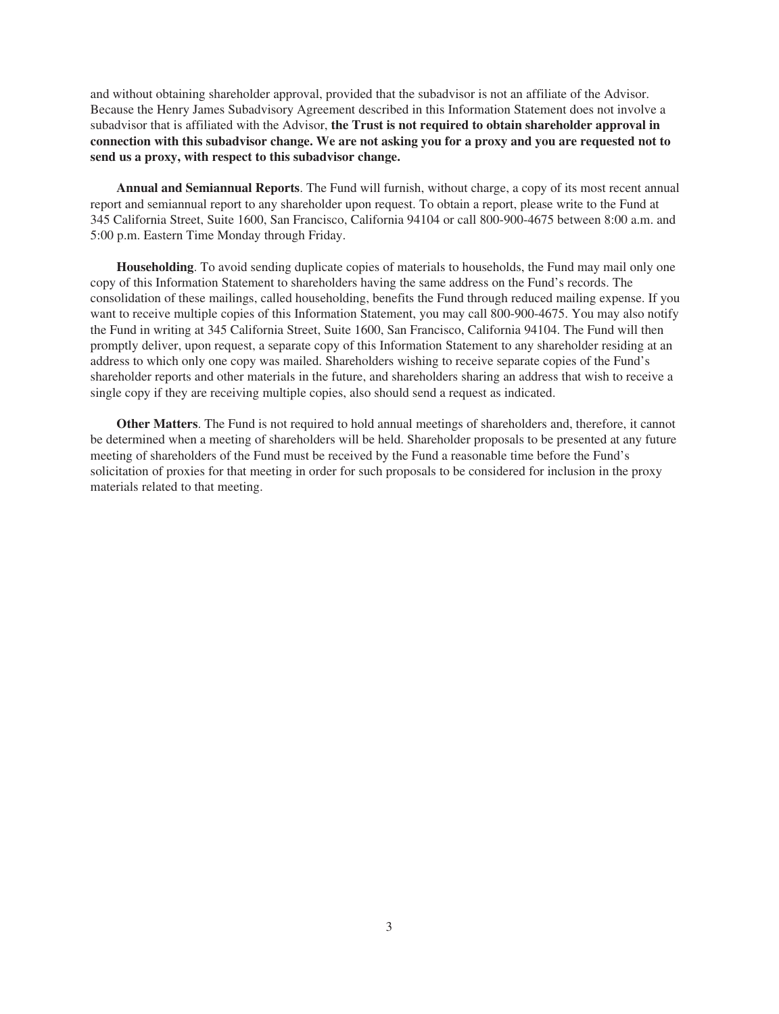and without obtaining shareholder approval, provided that the subadvisor is not an affiliate of the Advisor. Because the Henry James Subadvisory Agreement described in this Information Statement does not involve a subadvisor that is affiliated with the Advisor, **the Trust is not required to obtain shareholder approval in connection with this subadvisor change. We are not asking you for a proxy and you are requested not to send us a proxy, with respect to this subadvisor change.**

**Annual and Semiannual Reports**. The Fund will furnish, without charge, a copy of its most recent annual report and semiannual report to any shareholder upon request. To obtain a report, please write to the Fund at 345 California Street, Suite 1600, San Francisco, California 94104 or call 800-900-4675 between 8:00 a.m. and 5:00 p.m. Eastern Time Monday through Friday.

**Householding**. To avoid sending duplicate copies of materials to households, the Fund may mail only one copy of this Information Statement to shareholders having the same address on the Fund's records. The consolidation of these mailings, called householding, benefits the Fund through reduced mailing expense. If you want to receive multiple copies of this Information Statement, you may call 800-900-4675. You may also notify the Fund in writing at 345 California Street, Suite 1600, San Francisco, California 94104. The Fund will then promptly deliver, upon request, a separate copy of this Information Statement to any shareholder residing at an address to which only one copy was mailed. Shareholders wishing to receive separate copies of the Fund's shareholder reports and other materials in the future, and shareholders sharing an address that wish to receive a single copy if they are receiving multiple copies, also should send a request as indicated.

**Other Matters**. The Fund is not required to hold annual meetings of shareholders and, therefore, it cannot be determined when a meeting of shareholders will be held. Shareholder proposals to be presented at any future meeting of shareholders of the Fund must be received by the Fund a reasonable time before the Fund's solicitation of proxies for that meeting in order for such proposals to be considered for inclusion in the proxy materials related to that meeting.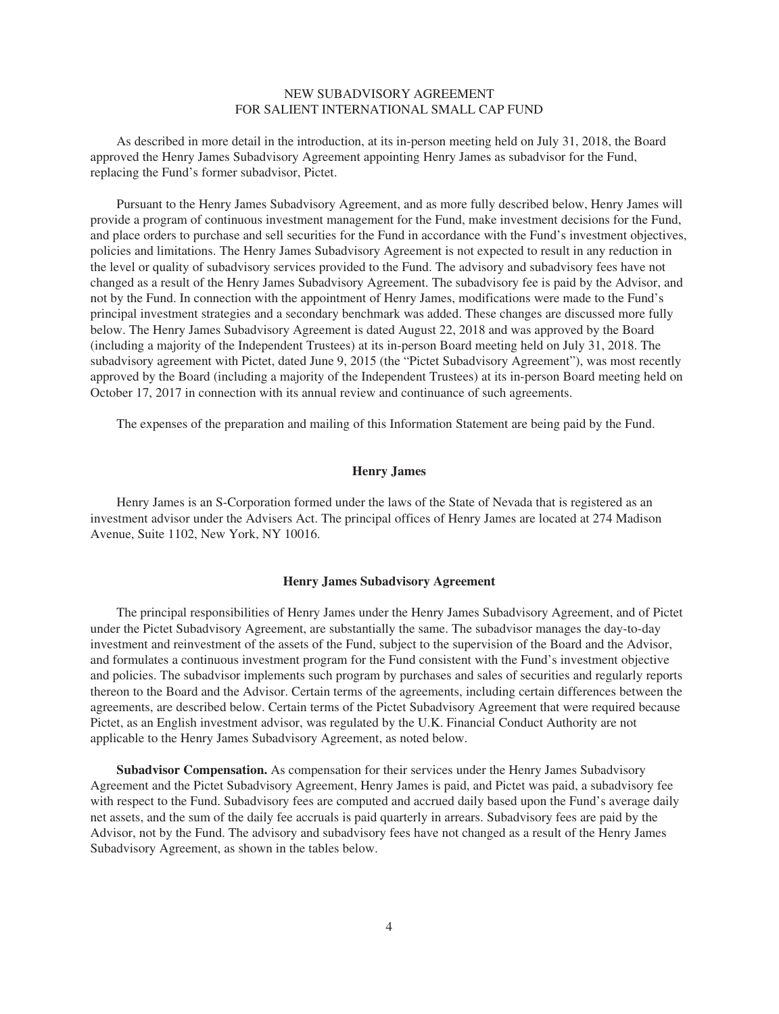## NEW SUBADVISORY AGREEMENT FOR SALIENT INTERNATIONAL SMALL CAP FUND

As described in more detail in the introduction, at its in-person meeting held on July 31, 2018, the Board approved the Henry James Subadvisory Agreement appointing Henry James as subadvisor for the Fund, replacing the Fund's former subadvisor, Pictet.

Pursuant to the Henry James Subadvisory Agreement, and as more fully described below, Henry James will provide a program of continuous investment management for the Fund, make investment decisions for the Fund, and place orders to purchase and sell securities for the Fund in accordance with the Fund's investment objectives, policies and limitations. The Henry James Subadvisory Agreement is not expected to result in any reduction in the level or quality of subadvisory services provided to the Fund. The advisory and subadvisory fees have not changed as a result of the Henry James Subadvisory Agreement. The subadvisory fee is paid by the Advisor, and not by the Fund. In connection with the appointment of Henry James, modifications were made to the Fund's principal investment strategies and a secondary benchmark was added. These changes are discussed more fully below. The Henry James Subadvisory Agreement is dated August 22, 2018 and was approved by the Board (including a majority of the Independent Trustees) at its in-person Board meeting held on July 31, 2018. The subadvisory agreement with Pictet, dated June 9, 2015 (the "Pictet Subadvisory Agreement"), was most recently approved by the Board (including a majority of the Independent Trustees) at its in-person Board meeting held on October 17, 2017 in connection with its annual review and continuance of such agreements.

The expenses of the preparation and mailing of this Information Statement are being paid by the Fund.

## **Henry James**

Henry James is an S-Corporation formed under the laws of the State of Nevada that is registered as an investment advisor under the Advisers Act. The principal offices of Henry James are located at 274 Madison Avenue, Suite 1102, New York, NY 10016.

#### **Henry James Subadvisory Agreement**

The principal responsibilities of Henry James under the Henry James Subadvisory Agreement, and of Pictet under the Pictet Subadvisory Agreement, are substantially the same. The subadvisor manages the day-to-day investment and reinvestment of the assets of the Fund, subject to the supervision of the Board and the Advisor, and formulates a continuous investment program for the Fund consistent with the Fund's investment objective and policies. The subadvisor implements such program by purchases and sales of securities and regularly reports thereon to the Board and the Advisor. Certain terms of the agreements, including certain differences between the agreements, are described below. Certain terms of the Pictet Subadvisory Agreement that were required because Pictet, as an English investment advisor, was regulated by the U.K. Financial Conduct Authority are not applicable to the Henry James Subadvisory Agreement, as noted below.

**Subadvisor Compensation.** As compensation for their services under the Henry James Subadvisory Agreement and the Pictet Subadvisory Agreement, Henry James is paid, and Pictet was paid, a subadvisory fee with respect to the Fund. Subadvisory fees are computed and accrued daily based upon the Fund's average daily net assets, and the sum of the daily fee accruals is paid quarterly in arrears. Subadvisory fees are paid by the Advisor, not by the Fund. The advisory and subadvisory fees have not changed as a result of the Henry James Subadvisory Agreement, as shown in the tables below.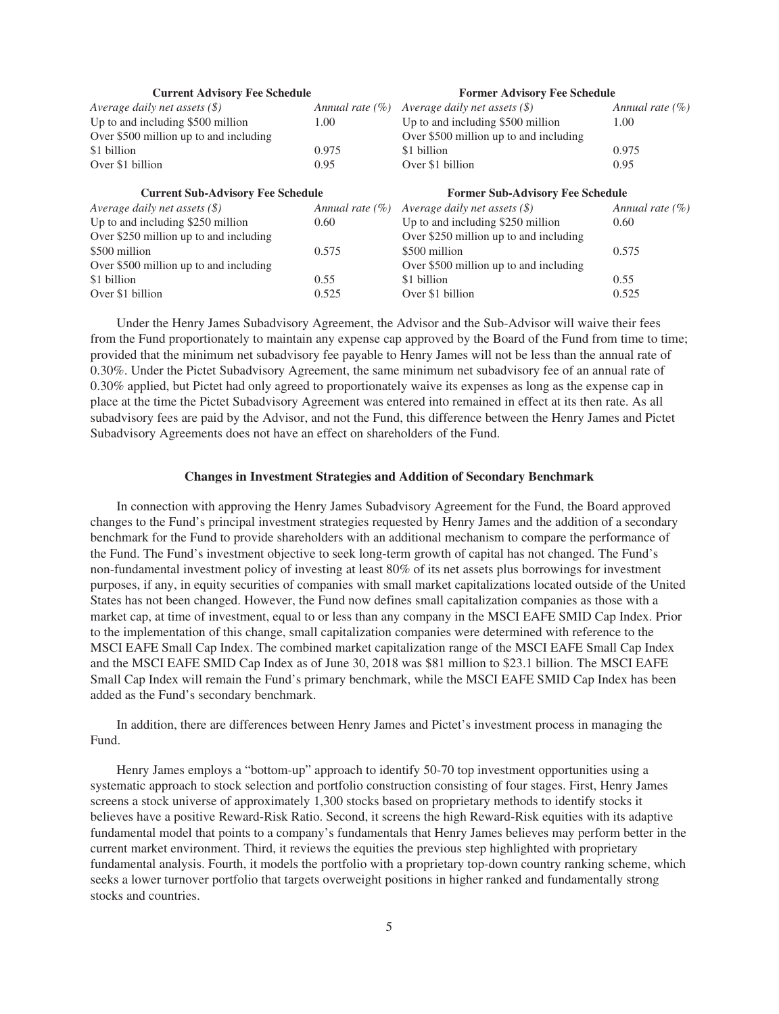| <b>Current Advisory Fee Schedule</b>     |                     | <b>Former Advisory Fee Schedule</b>                |                     |
|------------------------------------------|---------------------|----------------------------------------------------|---------------------|
| Average daily net assets $(\$)$          | Annual rate $(\% )$ | Average daily net assets $(\$)$                    | Annual rate $(\% )$ |
| Up to and including \$500 million        | 1.00                | Up to and including \$500 million                  | 1.00                |
| Over \$500 million up to and including   |                     | Over \$500 million up to and including             |                     |
| \$1 billion                              | 0.975               | \$1 billion                                        | 0.975               |
| Over \$1 billion                         | 0.95                | Over \$1 billion                                   | 0.95                |
| <b>Current Sub-Advisory Fee Schedule</b> |                     | <b>Former Sub-Advisory Fee Schedule</b>            |                     |
| Average daily net assets $(\$)$          |                     | Annual rate $(\%)$ Average daily net assets $(\$)$ | Annual rate $(\% )$ |
| Up to and including \$250 million        | 0.60                | Up to and including \$250 million                  | 0.60                |
| Over \$250 million up to and including   |                     | Over \$250 million up to and including             |                     |
| \$500 million                            | 0.575               | \$500 million                                      | 0.575               |
| Over \$500 million up to and including   |                     | Over \$500 million up to and including             |                     |
| \$1 billion                              | 0.55                | \$1 billion                                        | 0.55                |
| Over \$1 billion                         | 0.525               | Over \$1 billion                                   | 0.525               |

Under the Henry James Subadvisory Agreement, the Advisor and the Sub-Advisor will waive their fees from the Fund proportionately to maintain any expense cap approved by the Board of the Fund from time to time; provided that the minimum net subadvisory fee payable to Henry James will not be less than the annual rate of 0.30%. Under the Pictet Subadvisory Agreement, the same minimum net subadvisory fee of an annual rate of 0.30% applied, but Pictet had only agreed to proportionately waive its expenses as long as the expense cap in place at the time the Pictet Subadvisory Agreement was entered into remained in effect at its then rate. As all subadvisory fees are paid by the Advisor, and not the Fund, this difference between the Henry James and Pictet Subadvisory Agreements does not have an effect on shareholders of the Fund.

### **Changes in Investment Strategies and Addition of Secondary Benchmark**

In connection with approving the Henry James Subadvisory Agreement for the Fund, the Board approved changes to the Fund's principal investment strategies requested by Henry James and the addition of a secondary benchmark for the Fund to provide shareholders with an additional mechanism to compare the performance of the Fund. The Fund's investment objective to seek long-term growth of capital has not changed. The Fund's non-fundamental investment policy of investing at least 80% of its net assets plus borrowings for investment purposes, if any, in equity securities of companies with small market capitalizations located outside of the United States has not been changed. However, the Fund now defines small capitalization companies as those with a market cap, at time of investment, equal to or less than any company in the MSCI EAFE SMID Cap Index. Prior to the implementation of this change, small capitalization companies were determined with reference to the MSCI EAFE Small Cap Index. The combined market capitalization range of the MSCI EAFE Small Cap Index and the MSCI EAFE SMID Cap Index as of June 30, 2018 was \$81 million to \$23.1 billion. The MSCI EAFE Small Cap Index will remain the Fund's primary benchmark, while the MSCI EAFE SMID Cap Index has been added as the Fund's secondary benchmark.

In addition, there are differences between Henry James and Pictet's investment process in managing the Fund.

Henry James employs a "bottom-up" approach to identify 50-70 top investment opportunities using a systematic approach to stock selection and portfolio construction consisting of four stages. First, Henry James screens a stock universe of approximately 1,300 stocks based on proprietary methods to identify stocks it believes have a positive Reward-Risk Ratio. Second, it screens the high Reward-Risk equities with its adaptive fundamental model that points to a company's fundamentals that Henry James believes may perform better in the current market environment. Third, it reviews the equities the previous step highlighted with proprietary fundamental analysis. Fourth, it models the portfolio with a proprietary top-down country ranking scheme, which seeks a lower turnover portfolio that targets overweight positions in higher ranked and fundamentally strong stocks and countries.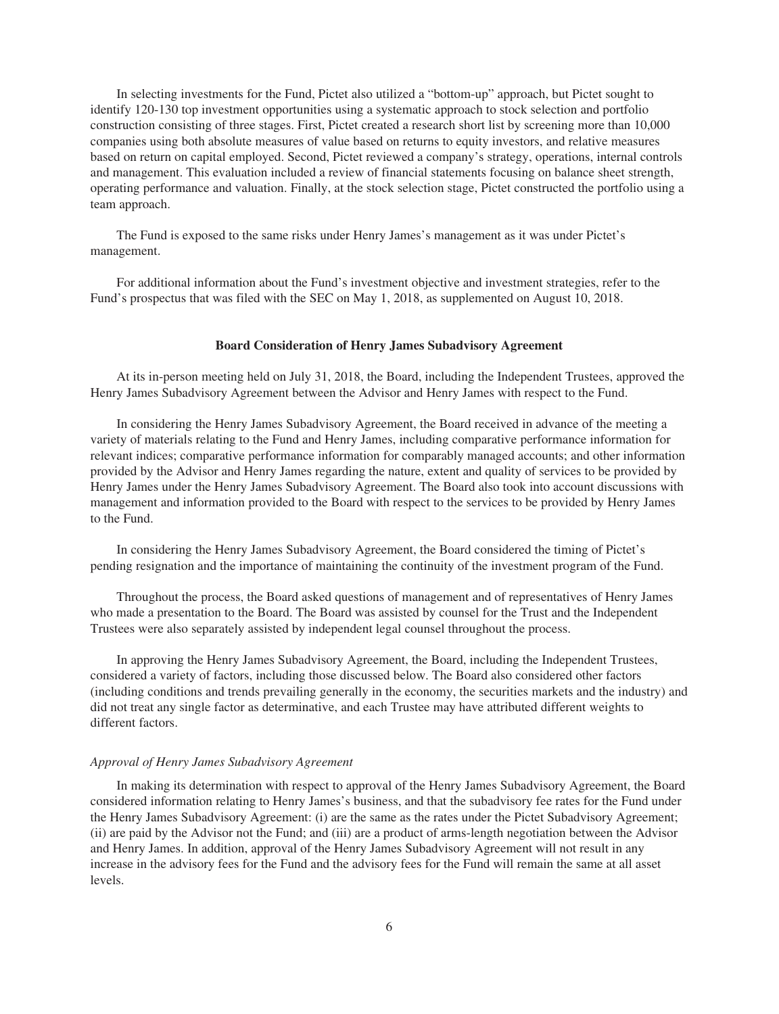In selecting investments for the Fund, Pictet also utilized a "bottom-up" approach, but Pictet sought to identify 120-130 top investment opportunities using a systematic approach to stock selection and portfolio construction consisting of three stages. First, Pictet created a research short list by screening more than 10,000 companies using both absolute measures of value based on returns to equity investors, and relative measures based on return on capital employed. Second, Pictet reviewed a company's strategy, operations, internal controls and management. This evaluation included a review of financial statements focusing on balance sheet strength, operating performance and valuation. Finally, at the stock selection stage, Pictet constructed the portfolio using a team approach.

The Fund is exposed to the same risks under Henry James's management as it was under Pictet's management.

For additional information about the Fund's investment objective and investment strategies, refer to the Fund's prospectus that was filed with the SEC on May 1, 2018, as supplemented on August 10, 2018.

#### **Board Consideration of Henry James Subadvisory Agreement**

At its in-person meeting held on July 31, 2018, the Board, including the Independent Trustees, approved the Henry James Subadvisory Agreement between the Advisor and Henry James with respect to the Fund.

In considering the Henry James Subadvisory Agreement, the Board received in advance of the meeting a variety of materials relating to the Fund and Henry James, including comparative performance information for relevant indices; comparative performance information for comparably managed accounts; and other information provided by the Advisor and Henry James regarding the nature, extent and quality of services to be provided by Henry James under the Henry James Subadvisory Agreement. The Board also took into account discussions with management and information provided to the Board with respect to the services to be provided by Henry James to the Fund.

In considering the Henry James Subadvisory Agreement, the Board considered the timing of Pictet's pending resignation and the importance of maintaining the continuity of the investment program of the Fund.

Throughout the process, the Board asked questions of management and of representatives of Henry James who made a presentation to the Board. The Board was assisted by counsel for the Trust and the Independent Trustees were also separately assisted by independent legal counsel throughout the process.

In approving the Henry James Subadvisory Agreement, the Board, including the Independent Trustees, considered a variety of factors, including those discussed below. The Board also considered other factors (including conditions and trends prevailing generally in the economy, the securities markets and the industry) and did not treat any single factor as determinative, and each Trustee may have attributed different weights to different factors.

#### *Approval of Henry James Subadvisory Agreement*

In making its determination with respect to approval of the Henry James Subadvisory Agreement, the Board considered information relating to Henry James's business, and that the subadvisory fee rates for the Fund under the Henry James Subadvisory Agreement: (i) are the same as the rates under the Pictet Subadvisory Agreement; (ii) are paid by the Advisor not the Fund; and (iii) are a product of arms-length negotiation between the Advisor and Henry James. In addition, approval of the Henry James Subadvisory Agreement will not result in any increase in the advisory fees for the Fund and the advisory fees for the Fund will remain the same at all asset levels.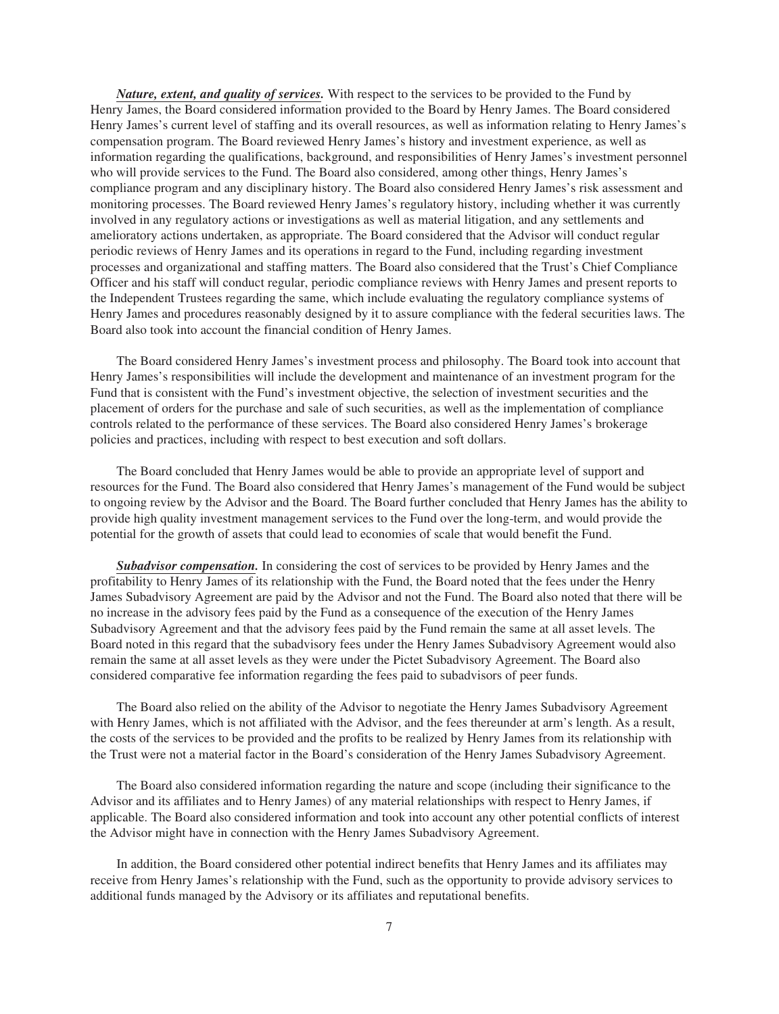*Nature, extent, and quality of services.* With respect to the services to be provided to the Fund by Henry James, the Board considered information provided to the Board by Henry James. The Board considered Henry James's current level of staffing and its overall resources, as well as information relating to Henry James's compensation program. The Board reviewed Henry James's history and investment experience, as well as information regarding the qualifications, background, and responsibilities of Henry James's investment personnel who will provide services to the Fund. The Board also considered, among other things, Henry James's compliance program and any disciplinary history. The Board also considered Henry James's risk assessment and monitoring processes. The Board reviewed Henry James's regulatory history, including whether it was currently involved in any regulatory actions or investigations as well as material litigation, and any settlements and amelioratory actions undertaken, as appropriate. The Board considered that the Advisor will conduct regular periodic reviews of Henry James and its operations in regard to the Fund, including regarding investment processes and organizational and staffing matters. The Board also considered that the Trust's Chief Compliance Officer and his staff will conduct regular, periodic compliance reviews with Henry James and present reports to the Independent Trustees regarding the same, which include evaluating the regulatory compliance systems of Henry James and procedures reasonably designed by it to assure compliance with the federal securities laws. The Board also took into account the financial condition of Henry James.

The Board considered Henry James's investment process and philosophy. The Board took into account that Henry James's responsibilities will include the development and maintenance of an investment program for the Fund that is consistent with the Fund's investment objective, the selection of investment securities and the placement of orders for the purchase and sale of such securities, as well as the implementation of compliance controls related to the performance of these services. The Board also considered Henry James's brokerage policies and practices, including with respect to best execution and soft dollars.

The Board concluded that Henry James would be able to provide an appropriate level of support and resources for the Fund. The Board also considered that Henry James's management of the Fund would be subject to ongoing review by the Advisor and the Board. The Board further concluded that Henry James has the ability to provide high quality investment management services to the Fund over the long-term, and would provide the potential for the growth of assets that could lead to economies of scale that would benefit the Fund.

*Subadvisor compensation.* In considering the cost of services to be provided by Henry James and the profitability to Henry James of its relationship with the Fund, the Board noted that the fees under the Henry James Subadvisory Agreement are paid by the Advisor and not the Fund. The Board also noted that there will be no increase in the advisory fees paid by the Fund as a consequence of the execution of the Henry James Subadvisory Agreement and that the advisory fees paid by the Fund remain the same at all asset levels. The Board noted in this regard that the subadvisory fees under the Henry James Subadvisory Agreement would also remain the same at all asset levels as they were under the Pictet Subadvisory Agreement. The Board also considered comparative fee information regarding the fees paid to subadvisors of peer funds.

The Board also relied on the ability of the Advisor to negotiate the Henry James Subadvisory Agreement with Henry James, which is not affiliated with the Advisor, and the fees thereunder at arm's length. As a result, the costs of the services to be provided and the profits to be realized by Henry James from its relationship with the Trust were not a material factor in the Board's consideration of the Henry James Subadvisory Agreement.

The Board also considered information regarding the nature and scope (including their significance to the Advisor and its affiliates and to Henry James) of any material relationships with respect to Henry James, if applicable. The Board also considered information and took into account any other potential conflicts of interest the Advisor might have in connection with the Henry James Subadvisory Agreement.

In addition, the Board considered other potential indirect benefits that Henry James and its affiliates may receive from Henry James's relationship with the Fund, such as the opportunity to provide advisory services to additional funds managed by the Advisory or its affiliates and reputational benefits.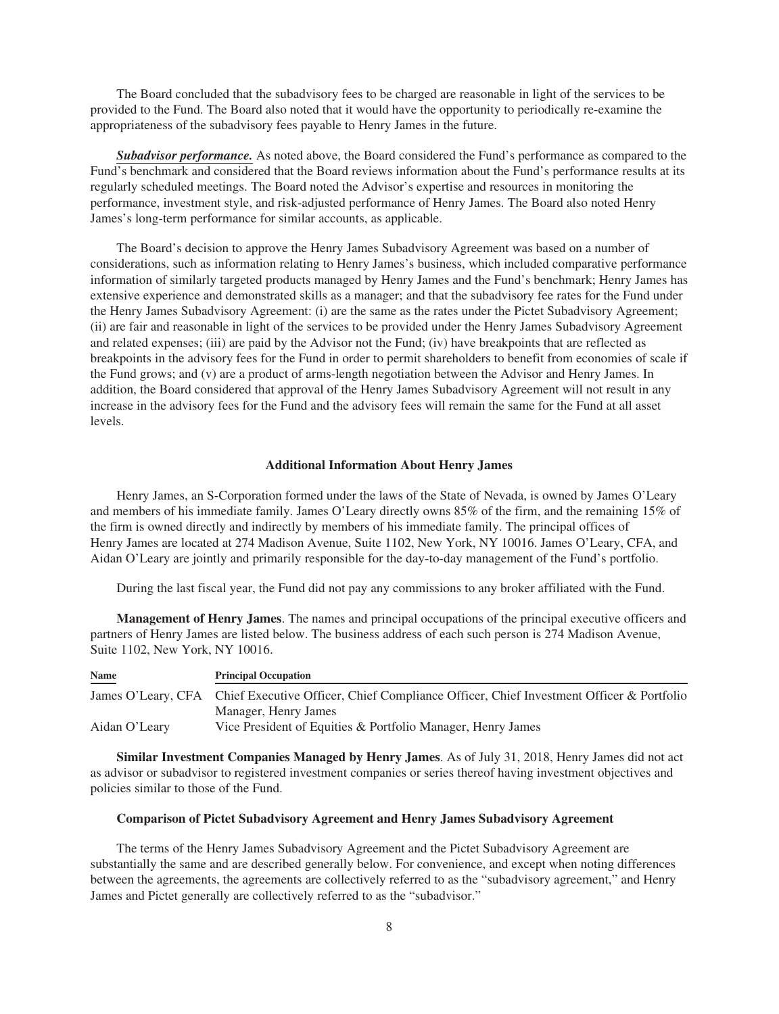The Board concluded that the subadvisory fees to be charged are reasonable in light of the services to be provided to the Fund. The Board also noted that it would have the opportunity to periodically re-examine the appropriateness of the subadvisory fees payable to Henry James in the future.

*Subadvisor performance.* As noted above, the Board considered the Fund's performance as compared to the Fund's benchmark and considered that the Board reviews information about the Fund's performance results at its regularly scheduled meetings. The Board noted the Advisor's expertise and resources in monitoring the performance, investment style, and risk-adjusted performance of Henry James. The Board also noted Henry James's long-term performance for similar accounts, as applicable.

The Board's decision to approve the Henry James Subadvisory Agreement was based on a number of considerations, such as information relating to Henry James's business, which included comparative performance information of similarly targeted products managed by Henry James and the Fund's benchmark; Henry James has extensive experience and demonstrated skills as a manager; and that the subadvisory fee rates for the Fund under the Henry James Subadvisory Agreement: (i) are the same as the rates under the Pictet Subadvisory Agreement; (ii) are fair and reasonable in light of the services to be provided under the Henry James Subadvisory Agreement and related expenses; (iii) are paid by the Advisor not the Fund; (iv) have breakpoints that are reflected as breakpoints in the advisory fees for the Fund in order to permit shareholders to benefit from economies of scale if the Fund grows; and (v) are a product of arms-length negotiation between the Advisor and Henry James. In addition, the Board considered that approval of the Henry James Subadvisory Agreement will not result in any increase in the advisory fees for the Fund and the advisory fees will remain the same for the Fund at all asset levels.

#### **Additional Information About Henry James**

Henry James, an S-Corporation formed under the laws of the State of Nevada, is owned by James O'Leary and members of his immediate family. James O'Leary directly owns 85% of the firm, and the remaining 15% of the firm is owned directly and indirectly by members of his immediate family. The principal offices of Henry James are located at 274 Madison Avenue, Suite 1102, New York, NY 10016. James O'Leary, CFA, and Aidan O'Leary are jointly and primarily responsible for the day-to-day management of the Fund's portfolio.

During the last fiscal year, the Fund did not pay any commissions to any broker affiliated with the Fund.

**Management of Henry James**. The names and principal occupations of the principal executive officers and partners of Henry James are listed below. The business address of each such person is 274 Madison Avenue, Suite 1102, New York, NY 10016.

| <b>Name</b>   | <b>Principal Occupation</b>                                                                                |
|---------------|------------------------------------------------------------------------------------------------------------|
|               | James O'Leary, CFA Chief Executive Officer, Chief Compliance Officer, Chief Investment Officer & Portfolio |
|               | Manager, Henry James                                                                                       |
| Aidan O'Leary | Vice President of Equities & Portfolio Manager, Henry James                                                |

**Similar Investment Companies Managed by Henry James**. As of July 31, 2018, Henry James did not act as advisor or subadvisor to registered investment companies or series thereof having investment objectives and policies similar to those of the Fund.

#### **Comparison of Pictet Subadvisory Agreement and Henry James Subadvisory Agreement**

The terms of the Henry James Subadvisory Agreement and the Pictet Subadvisory Agreement are substantially the same and are described generally below. For convenience, and except when noting differences between the agreements, the agreements are collectively referred to as the "subadvisory agreement," and Henry James and Pictet generally are collectively referred to as the "subadvisor."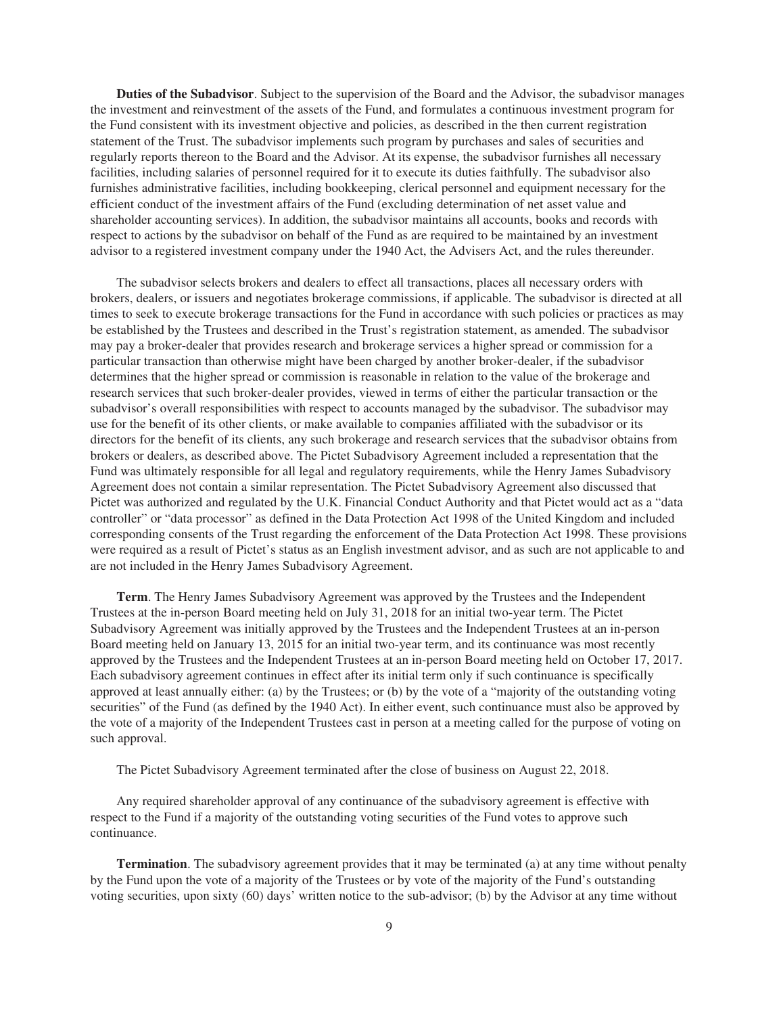**Duties of the Subadvisor**. Subject to the supervision of the Board and the Advisor, the subadvisor manages the investment and reinvestment of the assets of the Fund, and formulates a continuous investment program for the Fund consistent with its investment objective and policies, as described in the then current registration statement of the Trust. The subadvisor implements such program by purchases and sales of securities and regularly reports thereon to the Board and the Advisor. At its expense, the subadvisor furnishes all necessary facilities, including salaries of personnel required for it to execute its duties faithfully. The subadvisor also furnishes administrative facilities, including bookkeeping, clerical personnel and equipment necessary for the efficient conduct of the investment affairs of the Fund (excluding determination of net asset value and shareholder accounting services). In addition, the subadvisor maintains all accounts, books and records with respect to actions by the subadvisor on behalf of the Fund as are required to be maintained by an investment advisor to a registered investment company under the 1940 Act, the Advisers Act, and the rules thereunder.

The subadvisor selects brokers and dealers to effect all transactions, places all necessary orders with brokers, dealers, or issuers and negotiates brokerage commissions, if applicable. The subadvisor is directed at all times to seek to execute brokerage transactions for the Fund in accordance with such policies or practices as may be established by the Trustees and described in the Trust's registration statement, as amended. The subadvisor may pay a broker-dealer that provides research and brokerage services a higher spread or commission for a particular transaction than otherwise might have been charged by another broker-dealer, if the subadvisor determines that the higher spread or commission is reasonable in relation to the value of the brokerage and research services that such broker-dealer provides, viewed in terms of either the particular transaction or the subadvisor's overall responsibilities with respect to accounts managed by the subadvisor. The subadvisor may use for the benefit of its other clients, or make available to companies affiliated with the subadvisor or its directors for the benefit of its clients, any such brokerage and research services that the subadvisor obtains from brokers or dealers, as described above. The Pictet Subadvisory Agreement included a representation that the Fund was ultimately responsible for all legal and regulatory requirements, while the Henry James Subadvisory Agreement does not contain a similar representation. The Pictet Subadvisory Agreement also discussed that Pictet was authorized and regulated by the U.K. Financial Conduct Authority and that Pictet would act as a "data controller" or "data processor" as defined in the Data Protection Act 1998 of the United Kingdom and included corresponding consents of the Trust regarding the enforcement of the Data Protection Act 1998. These provisions were required as a result of Pictet's status as an English investment advisor, and as such are not applicable to and are not included in the Henry James Subadvisory Agreement.

**Term**. The Henry James Subadvisory Agreement was approved by the Trustees and the Independent Trustees at the in-person Board meeting held on July 31, 2018 for an initial two-year term. The Pictet Subadvisory Agreement was initially approved by the Trustees and the Independent Trustees at an in-person Board meeting held on January 13, 2015 for an initial two-year term, and its continuance was most recently approved by the Trustees and the Independent Trustees at an in-person Board meeting held on October 17, 2017. Each subadvisory agreement continues in effect after its initial term only if such continuance is specifically approved at least annually either: (a) by the Trustees; or (b) by the vote of a "majority of the outstanding voting securities" of the Fund (as defined by the 1940 Act). In either event, such continuance must also be approved by the vote of a majority of the Independent Trustees cast in person at a meeting called for the purpose of voting on such approval.

The Pictet Subadvisory Agreement terminated after the close of business on August 22, 2018.

Any required shareholder approval of any continuance of the subadvisory agreement is effective with respect to the Fund if a majority of the outstanding voting securities of the Fund votes to approve such continuance.

**Termination**. The subadvisory agreement provides that it may be terminated (a) at any time without penalty by the Fund upon the vote of a majority of the Trustees or by vote of the majority of the Fund's outstanding voting securities, upon sixty (60) days' written notice to the sub-advisor; (b) by the Advisor at any time without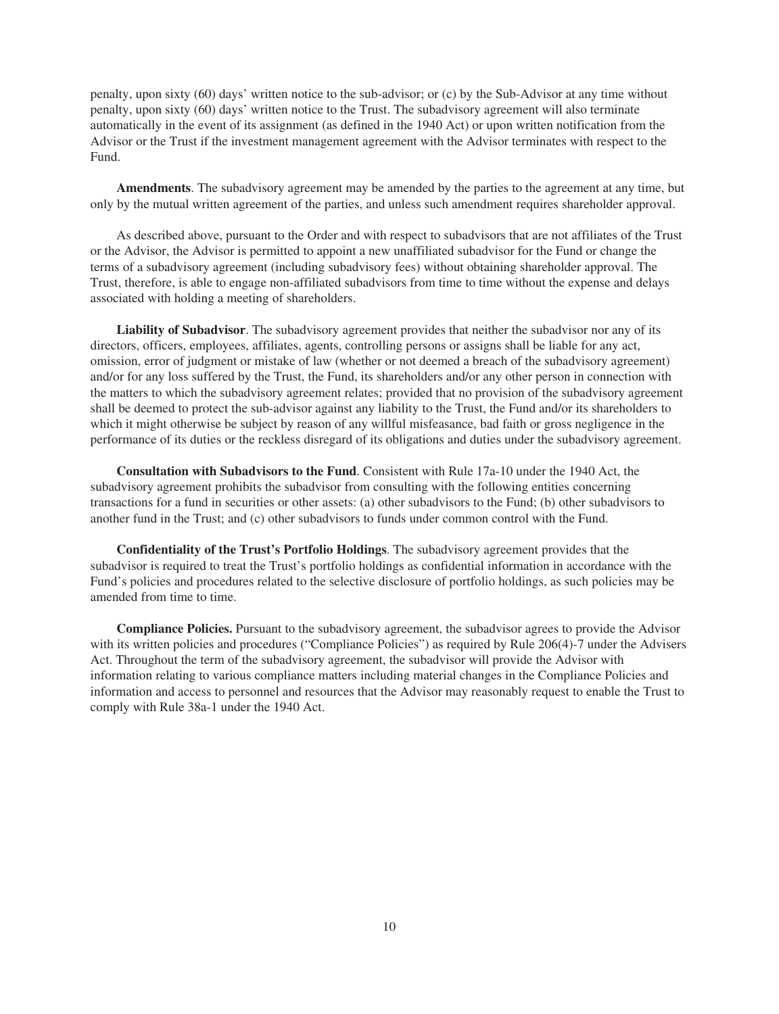penalty, upon sixty (60) days' written notice to the sub-advisor; or (c) by the Sub-Advisor at any time without penalty, upon sixty (60) days' written notice to the Trust. The subadvisory agreement will also terminate automatically in the event of its assignment (as defined in the 1940 Act) or upon written notification from the Advisor or the Trust if the investment management agreement with the Advisor terminates with respect to the Fund.

**Amendments**. The subadvisory agreement may be amended by the parties to the agreement at any time, but only by the mutual written agreement of the parties, and unless such amendment requires shareholder approval.

As described above, pursuant to the Order and with respect to subadvisors that are not affiliates of the Trust or the Advisor, the Advisor is permitted to appoint a new unaffiliated subadvisor for the Fund or change the terms of a subadvisory agreement (including subadvisory fees) without obtaining shareholder approval. The Trust, therefore, is able to engage non-affiliated subadvisors from time to time without the expense and delays associated with holding a meeting of shareholders.

**Liability of Subadvisor**. The subadvisory agreement provides that neither the subadvisor nor any of its directors, officers, employees, affiliates, agents, controlling persons or assigns shall be liable for any act, omission, error of judgment or mistake of law (whether or not deemed a breach of the subadvisory agreement) and/or for any loss suffered by the Trust, the Fund, its shareholders and/or any other person in connection with the matters to which the subadvisory agreement relates; provided that no provision of the subadvisory agreement shall be deemed to protect the sub-advisor against any liability to the Trust, the Fund and/or its shareholders to which it might otherwise be subject by reason of any willful misfeasance, bad faith or gross negligence in the performance of its duties or the reckless disregard of its obligations and duties under the subadvisory agreement.

**Consultation with Subadvisors to the Fund**. Consistent with Rule 17a-10 under the 1940 Act, the subadvisory agreement prohibits the subadvisor from consulting with the following entities concerning transactions for a fund in securities or other assets: (a) other subadvisors to the Fund; (b) other subadvisors to another fund in the Trust; and (c) other subadvisors to funds under common control with the Fund.

**Confidentiality of the Trust's Portfolio Holdings**. The subadvisory agreement provides that the subadvisor is required to treat the Trust's portfolio holdings as confidential information in accordance with the Fund's policies and procedures related to the selective disclosure of portfolio holdings, as such policies may be amended from time to time.

**Compliance Policies.** Pursuant to the subadvisory agreement, the subadvisor agrees to provide the Advisor with its written policies and procedures ("Compliance Policies") as required by Rule 206(4)-7 under the Advisers Act. Throughout the term of the subadvisory agreement, the subadvisor will provide the Advisor with information relating to various compliance matters including material changes in the Compliance Policies and information and access to personnel and resources that the Advisor may reasonably request to enable the Trust to comply with Rule 38a-1 under the 1940 Act.